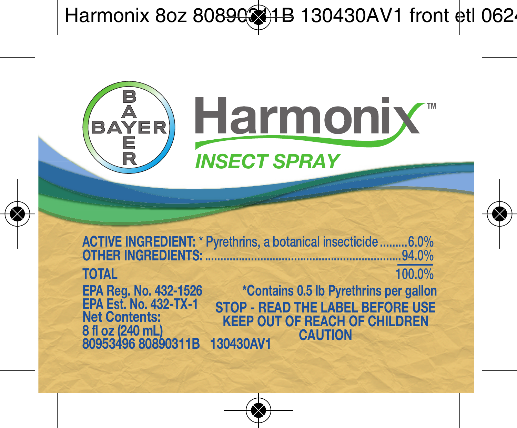

**ACTIVE INGREDIENT: \* Pyrethrins, a botanical insecticide .........6.0% OTHER INGREDIENTS: ................................................................94.0% TOTAL 100.0% EPA Reg. No. 432-1526 EPA Est. No. 432-TX-1 STOP - READ THE LABEL BEFORE USE KEEP OUT OF REACH OF CHILDREN CAUTION Net Contents: 8 fl oz (240 mL) 80953496 80890311B 130430AV1 \*Contains 0.5 lb Pyrethrins per gallon**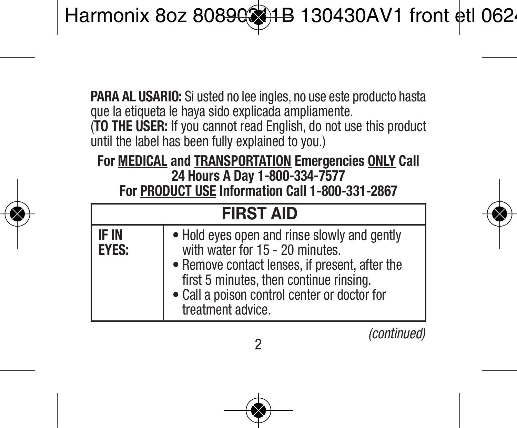**PARA AL USARIO:** Si usted no lee ingles, no use este producto hasta que la etiqueta le haya sido explicada ampliamente. (**TO THE USER:** If you cannot read English, do not use this product until the label has been fully explained to you.)

#### **For MEDICAL and TRANSPORTATION Emergencies ONLY Call 24 Hours A Day 1-800-334-7577 For PRODUCT USE Information Call 1-800-331-2867**

| <b>FIRST AID</b>      |                                                                                                                                                                                                                                                   |  |  |
|-----------------------|---------------------------------------------------------------------------------------------------------------------------------------------------------------------------------------------------------------------------------------------------|--|--|
| IF IN<br><b>EYES:</b> | . Hold eves open and rinse slowly and gently<br>with water for 15 - 20 minutes.<br>• Remove contact lenses, if present, after the<br>first 5 minutes, then continue rinsing.<br>• Call a poison control center or doctor for<br>treatment advice. |  |  |

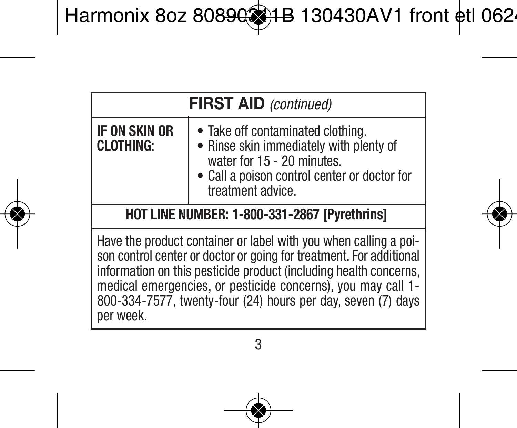| <b>FIRST AID</b> (continued)                                                                                                                                                                                                                                                                                                                              |                                                                                                                                                                                 |  |
|-----------------------------------------------------------------------------------------------------------------------------------------------------------------------------------------------------------------------------------------------------------------------------------------------------------------------------------------------------------|---------------------------------------------------------------------------------------------------------------------------------------------------------------------------------|--|
| IF ON SKIN OR<br><b>CLOTHING:</b>                                                                                                                                                                                                                                                                                                                         | • Take off contaminated clothing.<br>• Rinse skin immediately with plenty of<br>water for 15 - 20 minutes.<br>• Call a poison control center or doctor for<br>treatment advice. |  |
| HOT LINE NUMBER: 1-800-331-2867 [Pvrethrins]                                                                                                                                                                                                                                                                                                              |                                                                                                                                                                                 |  |
| Have the product container or label with you when calling a poi-<br>son control center or doctor or going for treatment. For additional<br>information on this pesticide product (including health concerns,<br>medical emergencies, or pesticide concerns), you may call 1-<br>800-334-7577, twenty-four (24) hours per day, seven (7) days<br>per week. |                                                                                                                                                                                 |  |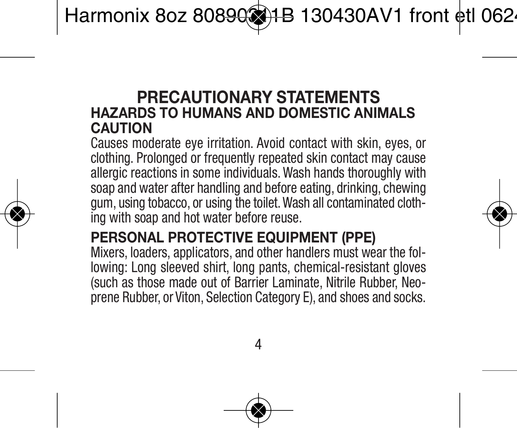#### **PRECAUTIONARY STATEMENTS HAZARDS TO HUMANS AND DOMESTIC ANIMALS CAUTION**

Causes moderate eye irritation. Avoid contact with skin, eyes, or clothing. Prolonged or frequently repeated skin contact may cause allergic reactions in some individuals. Wash hands thoroughly with soap and water after handling and before eating, drinking, chewing gum, using tobacco, or using the toilet.Wash all contaminated clothing with soap and hot water before reuse.

#### **PERSONAL PROTECTIVE EQUIPMENT (PPE)**

Mixers, loaders, applicators, and other handlers must wear the following: Long sleeved shirt, long pants, chemical-resistant gloves (such as those made out of Barrier Laminate, Nitrile Rubber, Neoprene Rubber, or Viton, Selection Category E), and shoes and socks.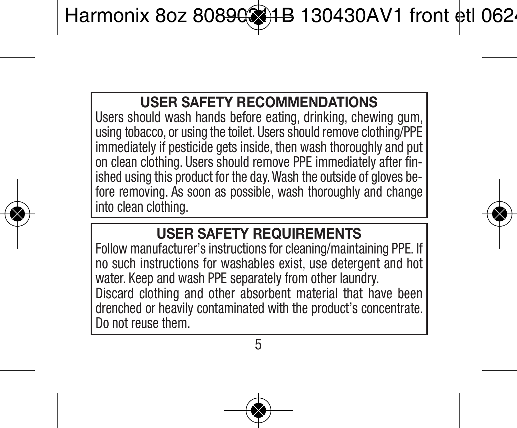#### **USER SAFETY RECOMMENDATIONS**

Users should wash hands before eating, drinking, chewing gum, using tobacco, or using the toilet. Users should remove clothing/PPE immediately if pesticide gets inside, then wash thoroughly and put on clean clothing. Users should remove PPE immediately after finished using this product for the day.Wash the outside of gloves before removing. As soon as possible, wash thoroughly and change into clean clothing.

#### **USER SAFETY REQUIREMENTS**

Follow manufacturer's instructions for cleaning/maintaining PPE. If no such instructions for washables exist, use detergent and hot water. Keep and wash PPE separately from other laundry. Discard clothing and other absorbent material that have been drenched or heavily contaminated with the product's concentrate. Do not reuse them<sup>2</sup>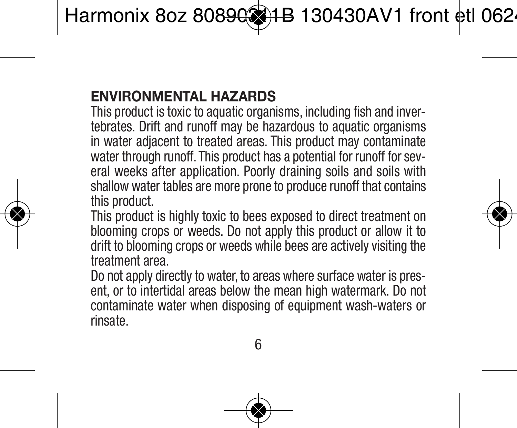#### **ENVIRONMENTAL HAZARDS**

This product is toxic to aquatic organisms, including fish and invertebrates. Drift and runoff may be hazardous to aquatic organisms in water adjacent to treated areas. This product may contaminate water through runoff. This product has a potential for runoff for several weeks after application. Poorly draining soils and soils with shallow water tables are more prone to produce runoff that contains this product.

This product is highly toxic to bees exposed to direct treatment on blooming crops or weeds. Do not apply this product or allow it to drift to blooming crops or weeds while bees are actively visiting the treatment area.

Do not apply directly to water, to areas where surface water is present, or to intertidal areas below the mean high watermark. Do not contaminate water when disposing of equipment wash-waters or rinsate.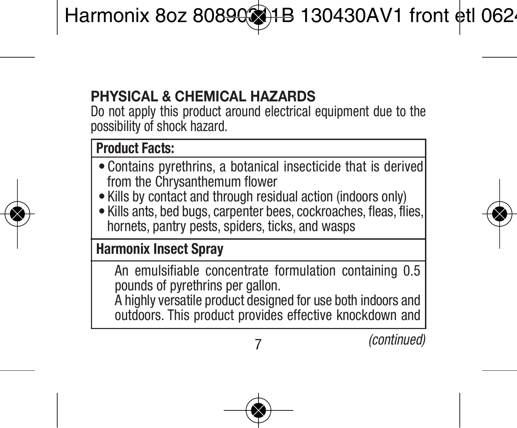# **PHYSICAL & CHEMICAL HAZARDS**

Do not apply this product around electrical equipment due to the possibility of shock hazard.

#### **Product Facts:**

- Contains pyrethrins, a botanical insecticide that is derived from the Chrysanthemum flower
- Kills by contact and through residual action (indoors only)
- Kills ants, bed bugs, carpenter bees, cockroaches, fleas, flies, hornets, pantry pests, spiders, ticks, and wasps

#### **Harmonix Insect Spray**

An emulsifiable concentrate formulation containing 0.5 pounds of pyrethrins per gallon. A highly versatile product designed for use both indoors and outdoors. This product provides effective knockdown and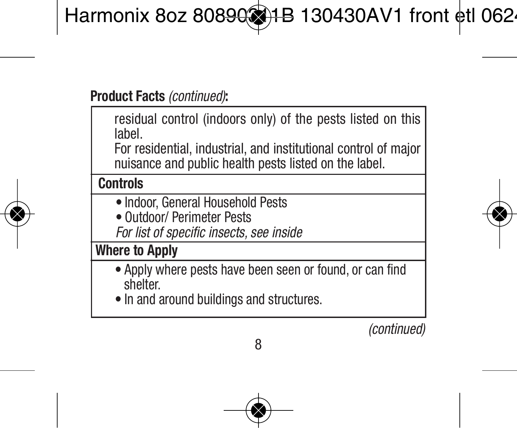residual control (indoors only) of the pests listed on this label.

For residential, industrial, and institutional control of major nuisance and public health pests listed on the label.

#### **Controls**

- Indoor, General Household Pests
- Outdoor/ Perimeter Pests
- *For list of specific insects, see inside*

#### **Where to Apply**

- Apply where pests have been seen or found, or can find shelter.
- In and around buildings and structures.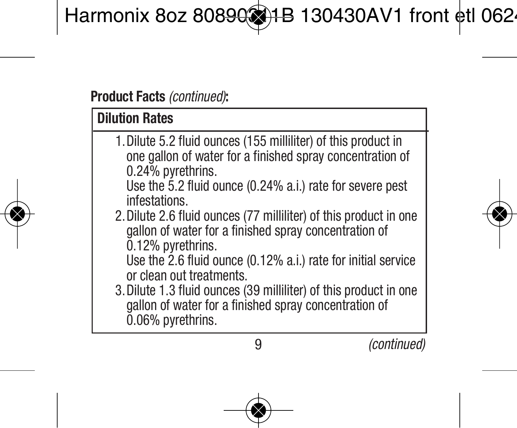# **Dilution Rates**

- 1.Dilute 5.2 fluid ounces (155 milliliter) of this product in one gallon of water for a finished spray concentration of 0.24% pyrethrins.
	- Use the 5.2 fluid ounce (0.24% a.i.) rate for severe pest infestations.
- 2.Dilute 2.6 fluid ounces (77 milliliter) of this product in one gallon of water for a finished spray concentration of 0.12% pyrethrins.
	- Use the 2.6 fluid ounce (0.12% a.i.) rate for initial service or clean out treatments.
- 3.Dilute 1.3 fluid ounces (39 milliliter) of this product in one gallon of water for a finished spray concentration of 0.06% pyrethrins.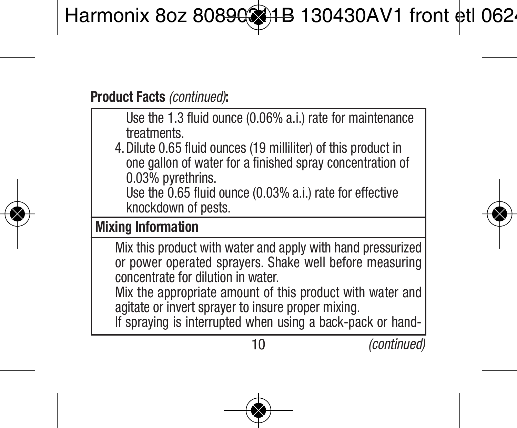Use the 1.3 fluid ounce (0.06% a.i.) rate for maintenance treatments.

4.Dilute 0.65 fluid ounces (19 milliliter) of this product in one gallon of water for a finished spray concentration of 0.03% pyrethrins.

Use the 0.65 fluid ounce (0.03% a.i.) rate for effective knockdown of pests.

#### **Mixing Information**

Mix this product with water and apply with hand pressurized or power operated sprayers. Shake well before measuring concentrate for dilution in water.

Mix the appropriate amount of this product with water and agitate or invert sprayer to insure proper mixing.

If spraying is interrupted when using a back-pack or hand-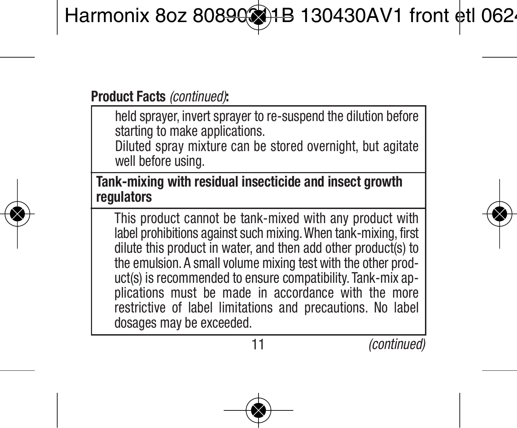held sprayer, invert sprayer to re-suspend the dilution before starting to make applications.

Diluted spray mixture can be stored overnight, but agitate well before using.

**Tank-mixing with residual insecticide and insect growth regulators**

This product cannot be tank-mixed with any product with label prohibitions against such mixing.When tank-mixing, first dilute this product in water, and then add other product(s) to the emulsion. A small volume mixing test with the other product(s) is recommended to ensure compatibility. Tank-mix applications must be made in accordance with the more restrictive of label limitations and precautions. No label dosages may be exceeded.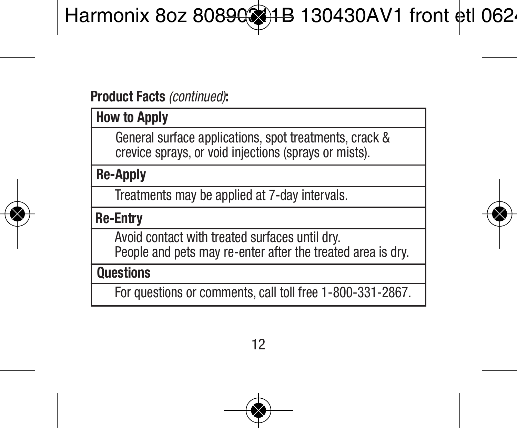**How to Apply**

General surface applications, spot treatments, crack & crevice sprays, or void injections (sprays or mists).

**Re-Apply**

Treatments may be applied at 7-day intervals.

**Re-Entry**

Avoid contact with treated surfaces until dry. People and pets may re-enter after the treated area is dry.

**Questions**

For questions or comments, call toll free 1-800-331-2867.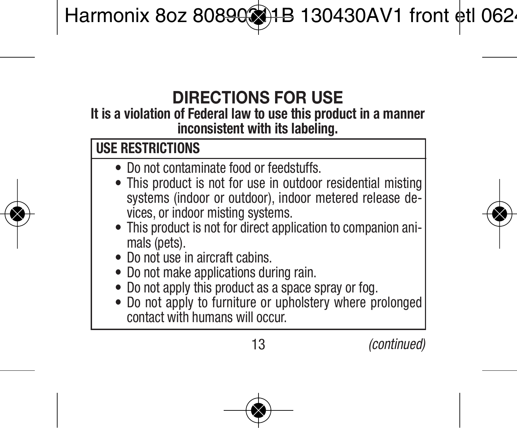# **DIRECTIONS FOR USE**

#### **It is a violation of Federal law to use this product in a manner inconsistent with its labeling.**

# **USE RESTRICTIONS**

- Do not contaminate food or feedstuffs.
- This product is not for use in outdoor residential misting systems (indoor or outdoor), indoor metered release devices, or indoor misting systems.
- This product is not for direct application to companion animals (nets).
- Do not use in aircraft cabins.
- Do not make applications during rain.
- Do not apply this product as a space spray or fog.
- Do not apply to furniture or upholstery where prolonged contact with humans will occur.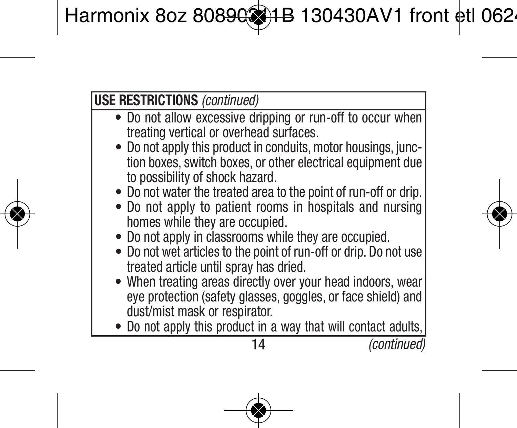- Do not allow excessive dripping or run-off to occur when treating vertical or overhead surfaces.
- Do not apply this product in conduits, motor housings, junction boxes, switch boxes, or other electrical equipment due to possibility of shock hazard.
- Do not water the treated area to the point of run-off or drip.
- Do not apply to patient rooms in hospitals and nursing homes while they are occupied.
- Do not apply in classrooms while they are occupied.
- Do not wet articles to the point of run-off or drip. Do not use treated article until spray has dried.
- When treating areas directly over your head indoors, wear eye protection (safety glasses, goggles, or face shield) and dust/mist mask or respirator.
- Do not apply this product in a way that will contact adults,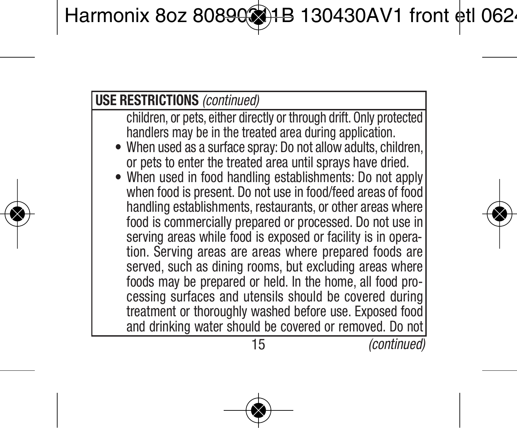- children, or pets, either directly or through drift. Only protected handlers may be in the treated area during application.
- When used as a surface spray: Do not allow adults, children or pets to enter the treated area until sprays have dried.
- When used in food handling establishments: Do not apply when food is present. Do not use in food/feed areas of food handling establishments, restaurants, or other areas where food is commercially prepared or processed. Do not use in serving areas while food is exposed or facility is in operation. Serving areas are areas where prepared foods are served, such as dining rooms, but excluding areas where foods may be prepared or held. In the home, all food processing surfaces and utensils should be covered during treatment or thoroughly washed before use. Exposed food and drinking water should be covered or removed. Do not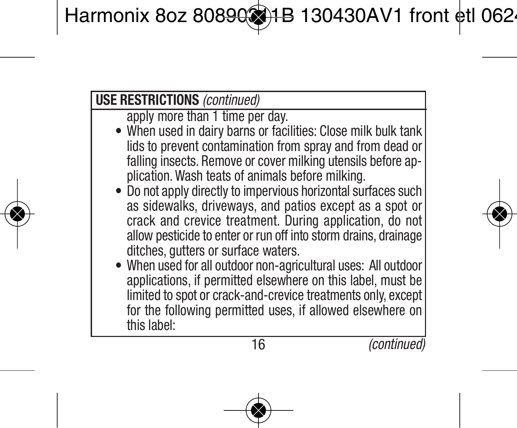apply more than 1 time per day.

- When used in dairy barns or facilities: Close milk bulk tank lids to prevent contamination from spray and from dead or falling insects. Remove or cover milking utensils before application. Wash teats of animals before milking.
- Do not apply directly to impervious horizontal surfaces such as sidewalks, driveways, and patios except as a spot or crack and crevice treatment. During application, do not allow pesticide to enter or run off into storm drains, drainage ditches, gutters or surface waters.
- When used for all outdoor non-agricultural uses: All outdoor applications, if permitted elsewhere on this label, must be limited to spot or crack-and-crevice treatments only, except for the following permitted uses, if allowed elsewhere on this label: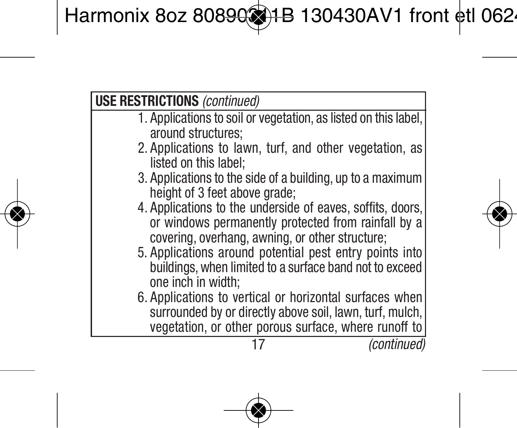- 1. Applications to soil or vegetation, as listed on this label, around structures;
- 2. Applications to lawn, turf, and other vegetation, as listed on this label;
- 3. Applications to the side of a building, up to a maximum height of 3 feet above grade;
- 4. Applications to the underside of eaves, soffits, doors, or windows permanently protected from rainfall by a covering, overhang, awning, or other structure;
- 5. Applications around potential pest entry points into buildings,when limited to a surface band not to exceed one inch in width;
- 6. Applications to vertical or horizontal surfaces when surrounded by or directly above soil, lawn, turf, mulch, vegetation, or other porous surface, where runoff to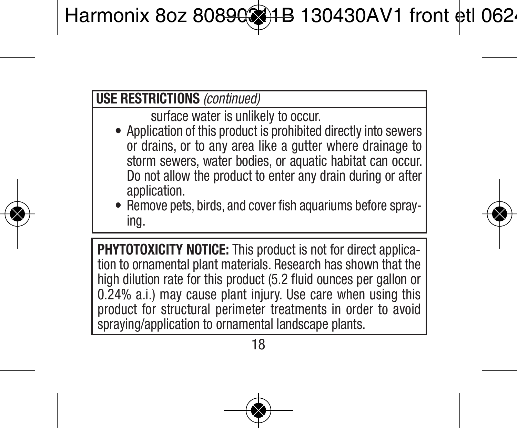surface water is unlikely to occur.

- Application of this product is prohibited directly into sewers or drains, or to any area like a gutter where drainage to storm sewers, water bodies, or aquatic habitat can occur. Do not allow the product to enter any drain during or after application.
- Remove pets, birds, and cover fish aquariums before spraying.

**PHYTOTOXICITY NOTICE:** This product is not for direct applica tion to ornamental plant materials. Research has shown that the high dilution rate for this product (5.2 fluid ounces per gallon or 0.24% a.i.) may cause plant injury. Use care when using this product for structural perimeter treatments in order to avoid spraying/application to ornamental landscape plants.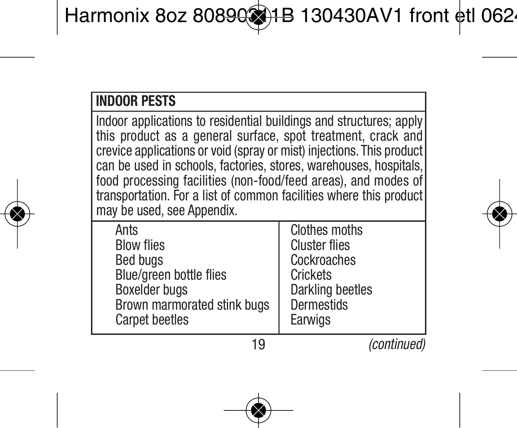# **INDOOR PESTS**

Indoor applications to residential buildings and structures; apply this product as a general surface, spot treatment, crack and crevice applications or void (spray or mist) injections. This product can be used in schools, factories, stores, warehouses, hospitals food processing facilities (non-food/feed areas), and modes of transportation. For a list of common facilities where this product may be used, see Appendix.

| Ants                        | <b>Clothes moths</b> |
|-----------------------------|----------------------|
| <b>Blow flies</b>           | <b>Cluster flies</b> |
| <b>Bed buas</b>             | Cockroaches          |
| Blue/green bottle flies     | Crickets             |
| Boxelder buas               | Darkling beetles     |
| Brown marmorated stink bugs | Dermestids           |
| <b>Carpet beetles</b>       | Earwigs              |
|                             |                      |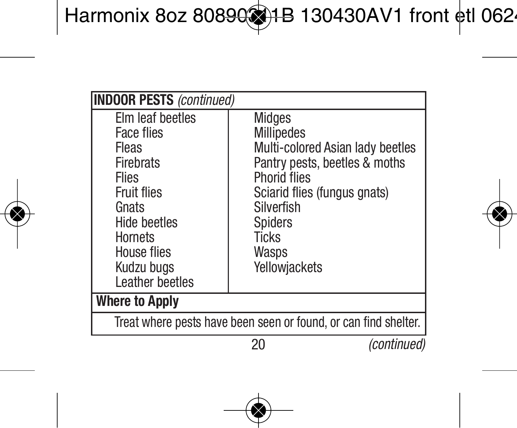| <b>INDOOR PESTS (continued)</b>                                                                                                                                                              |                                                                                                                                                                                                                     |             |  |
|----------------------------------------------------------------------------------------------------------------------------------------------------------------------------------------------|---------------------------------------------------------------------------------------------------------------------------------------------------------------------------------------------------------------------|-------------|--|
| Elm leaf beetles<br><b>Face flies</b><br>Fleas<br>Firebrats<br><b>Flies</b><br><b>Fruit flies</b><br>Gnats<br><b>Hide beetles</b><br>Hornets<br>House flies<br>Kudzu buas<br>Leather beetles | Midaes<br><b>Millipedes</b><br>Multi-colored Asian lady beetles<br>Pantry pests, beetles & moths<br>Phorid flies<br>Sciarid flies (fungus gnats)<br>Silverfish<br>Spiders<br><b>Ticks</b><br>Wasps<br>Yellowjackets |             |  |
| <b>Where to Apply</b>                                                                                                                                                                        |                                                                                                                                                                                                                     |             |  |
| Treat where pests have been seen or found, or can find shelter.                                                                                                                              |                                                                                                                                                                                                                     |             |  |
|                                                                                                                                                                                              |                                                                                                                                                                                                                     | (continued) |  |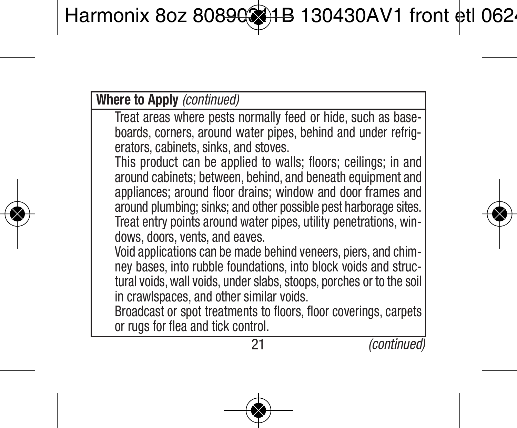#### **Where to Apply** *(continued)*

Treat areas where pests normally feed or hide, such as baseboards, corners, around water pipes, behind and under refrig erators, cabinets, sinks, and stoves.

This product can be applied to walls; floors; ceilings; in and around cabinets; between, behind, and beneath equipment and appliances; around floor drains; window and door frames and around plumbing; sinks; and other possible pest harborage sites. Treat entry points around water pipes, utility penetrations, win dows, doors, vents, and eaves.

Void applications can be made behind veneers, piers, and chimney bases, into rubble foundations, into block voids and structural voids, wall voids, under slabs, stoops, porches or to the soil in crawlspaces, and other similar voids.

Broadcast or spot treatments to floors, floor coverings, carpets or rugs for flea and tick control.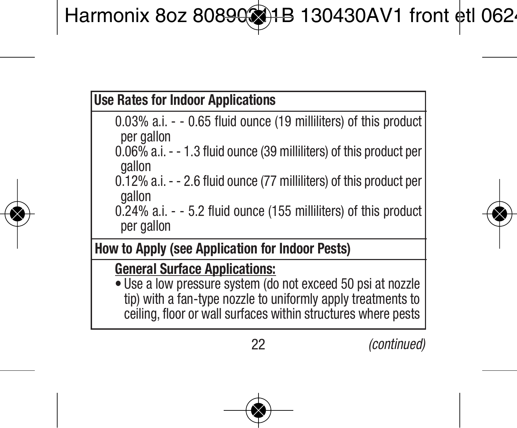|  |  |  |  | <b>Use Rates for Indoor Applications</b> |
|--|--|--|--|------------------------------------------|
|--|--|--|--|------------------------------------------|

- 0.03% a.i. - 0.65 fluid ounce (19 milliliters) of this product per gallon
- 0.06% a.i.- 1.3 fluid ounce (39 milliliters) of this product per gallon
- 0.12% a.i.- 2.6 fluid ounce (77 milliliters) of this product per gallon
- 0.24% a.i. - 5.2 fluid ounce (155 milliliters) of this product per gallon

**How to Apply (see Application for Indoor Pests)**

**General Surface Applications:**

• Use a low pressure system (do not exceed 50 psi at nozzle tip) with a fan-type nozzle to uniformly apply treatments to ceiling, floor or wall surfaces within structures where pests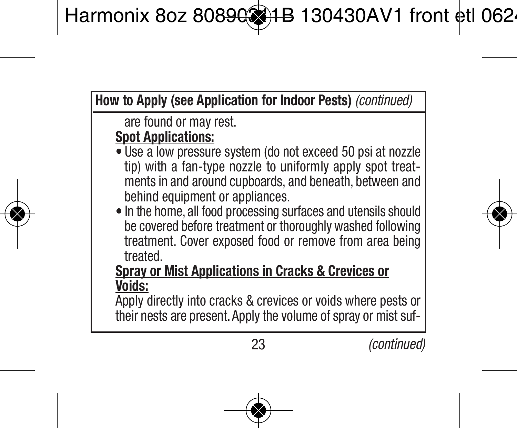**How to Apply (see Application for Indoor Pests)** *(continued)*

are found or may rest.

#### **Spot Applications:**

- Use a low pressure system (do not exceed 50 psi at nozzle tip) with a fan-type nozzle to uniformly apply spot treatments in and around cupboards, and beneath, between and behind equipment or appliances.
- In the home, all food processing surfaces and utensils should be covered before treatment or thoroughly washed following treatment. Cover exposed food or remove from area being treated.

#### **Spray or Mist Applications in Cracks & Crevices or Voids:**

Apply directly into cracks & crevices or voids where pests or their nests are present. Apply the volume of spray or mist suf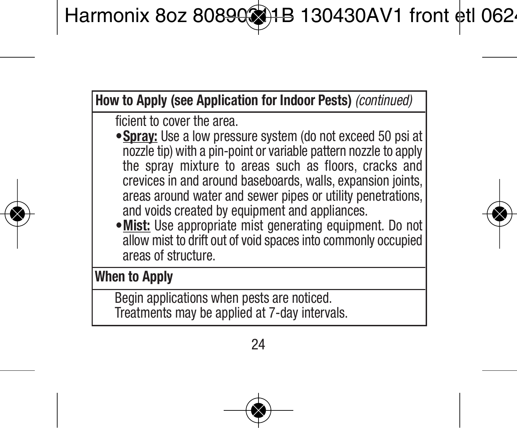**How to Apply (see Application for Indoor Pests)** *(continued)*

ficient to cover the area.

- •**Spray:** Use a low pressure system (do not exceed 50 psi at nozzle tip) with a pin-point or variable pattern nozzle to apply the spray mixture to areas such as floors, cracks and crevices in and around baseboards, walls, expansion joints, areas around water and sewer pipes or utility penetrations, and voids created by equipment and appliances.
- •**Mist:** Use appropriate mist generating equipment. Do not allow mist to drift out of void spaces into commonly occupied areas of structure.

**When to Apply**

Begin applications when pests are noticed. Treatments may be applied at 7-day intervals.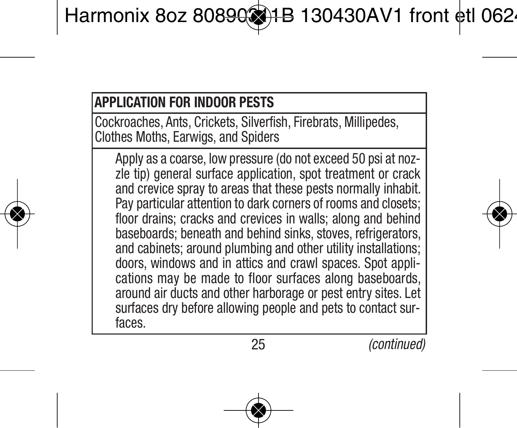#### **APPLICATION FOR INDOOR PESTS**

Cockroaches, Ants, Crickets, Silverfish, Firebrats, Millipedes, Clothes Moths, Earwigs, and Spiders

Apply as a coarse, low pressure (do not exceed 50 psi at nozzle tip) general surface application, spot treatment or crack and crevice spray to areas that these pests normally inhabit. Pay particular attention to dark corners of rooms and closets; floor drains; cracks and crevices in walls; along and behind baseboards; beneath and behind sinks, stoves, refrigerators, and cabinets; around plumbing and other utility installations; doors, windows and in attics and crawl spaces. Spot applications may be made to floor surfaces along baseboards, around air ducts and other harborage or pest entry sites. Let surfaces dry before allowing people and pets to contact surfaces.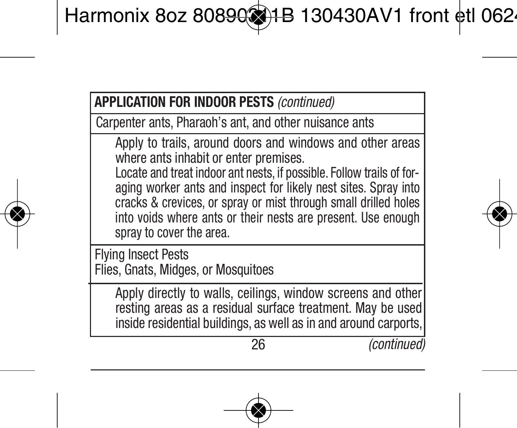Carpenter ants, Pharaoh's ant, and other nuisance ants

Apply to trails, around doors and windows and other areas where ants inhabit or enter premises.

Locate and treat indoor ant nests, if possible. Follow trails of foraging worker ants and inspect for likely nest sites. Spray into cracks & crevices, or spray or mist through small drilled holes into voids where ants or their nests are present. Use enough spray to cover the area.

Flying Insect Pests Flies, Gnats, Midges, or Mosquitoes

> Apply directly to walls, ceilings, window screens and other resting areas as a residual surface treatment. May be used inside residential buildings, as well as in and around carports,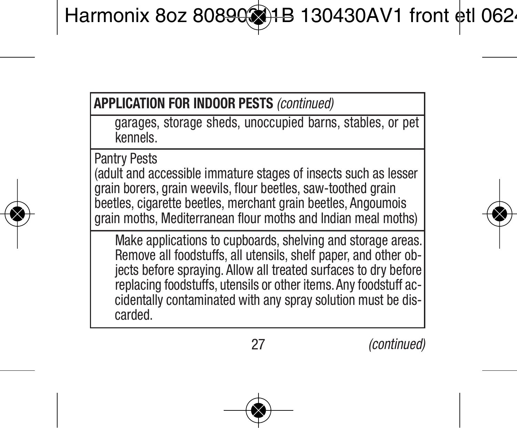garages, storage sheds, unoccupied barns, stables, or pet kennels.

Pantry Pests

(adult and accessible immature stages of insects such as lesser grain borers, grain weevils, flour beetles, saw-toothed grain beetles, cigarette beetles, merchant grain beetles, Angoumois grain moths, Mediterranean flour moths and Indian meal moths)

Make applications to cupboards, shelving and storage areas. Remove all foodstuffs, all utensils, shelf paper, and other objects before spraying. Allow all treated surfaces to dry before replacing foodstuffs, utensils or other items. Any foodstuff accidentally contaminated with any spray solution must be dis carded.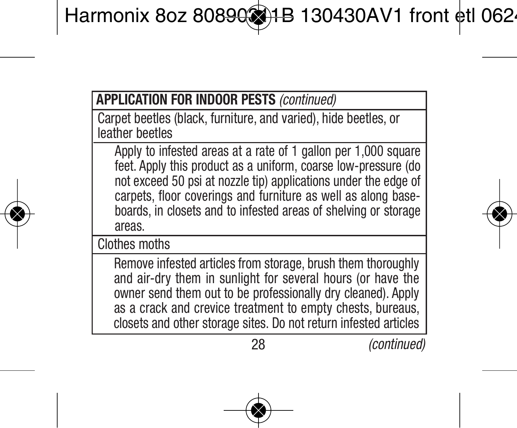Carpet beetles (black, furniture, and varied), hide beetles, or leather beetles

Apply to infested areas at a rate of 1 gallon per 1,000 square feet. Apply this product as a uniform, coarse low-pressure (do not exceed 50 psi at nozzle tip) applications under the edge of carpets, floor coverings and furniture as well as along baseboards, in closets and to infested areas of shelving or storage areas.

Clothes moths

Remove infested articles from storage, brush them thoroughly and air-dry them in sunlight for several hours (or have the owner send them out to be professionally dry cleaned). Apply as a crack and crevice treatment to empty chests, bureaus, closets and other storage sites. Do not return infested articles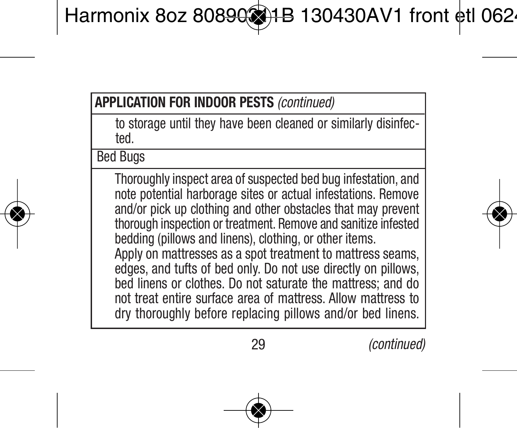to storage until they have been cleaned or similarly disinfected.

Bed Bugs

Thoroughly inspect area of suspected bed bug infestation, and note potential harborage sites or actual infestations. Remove and/or pick up clothing and other obstacles that may prevent thorough inspection or treatment. Remove and sanitize infested bedding (pillows and linens), clothing, or other items. Apply on mattresses as a spot treatment to mattress seams. edges, and tufts of bed only. Do not use directly on pillows, bed linens or clothes. Do not saturate the mattress; and do not treat entire surface area of mattress. Allow mattress to dry thoroughly before replacing pillows and/or bed linens.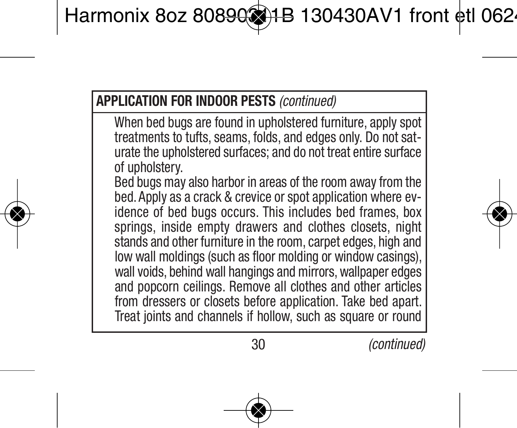When bed bugs are found in upholstered furniture, apply spot treatments to tufts, seams, folds, and edges only. Do not saturate the upholstered surfaces; and do not treat entire surface of upholstery.

Bed bugs may also harbor in areas of the room away from the bed. Apply as a crack & crevice or spot application where evidence of bed bugs occurs. This includes bed frames, box springs, inside empty drawers and clothes closets, night stands and other furniture in the room, carpet edges, high and low wall moldings (such as floor molding or window casings), wall voids, behind wall hangings and mirrors, wallpaper edges and popcorn ceilings. Remove all clothes and other articles from dressers or closets before application. Take bed apart. Treat joints and channels if hollow, such as square or round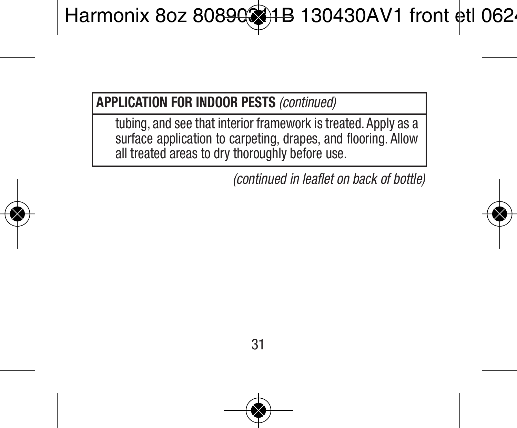tubing, and see that interior framework is treated. Apply as a surface application to carpeting, drapes, and flooring. Allow all treated areas to dry thoroughly before use.

*(continued in leaflet on back of bottle)*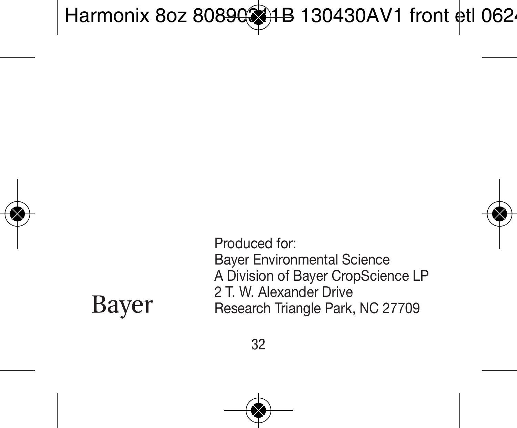# Bayer

Produced for: Bayer Environmental Science A Division of Bayer CropScience LP 2 T. W. Alexander Drive Research Triangle Park, NC 27709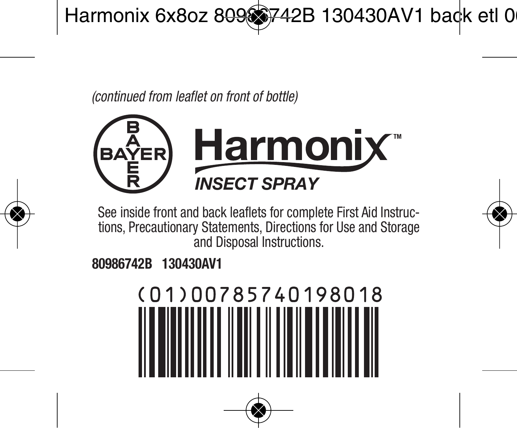*(continued from leaflet on front of bottle)*



See inside front and back leaflets for complete First Aid Instructions, Precautionary Statements, Directions for Use and Storage and Disposal Instructions.

**80986742B 130430AV1**

# (01)00785740198018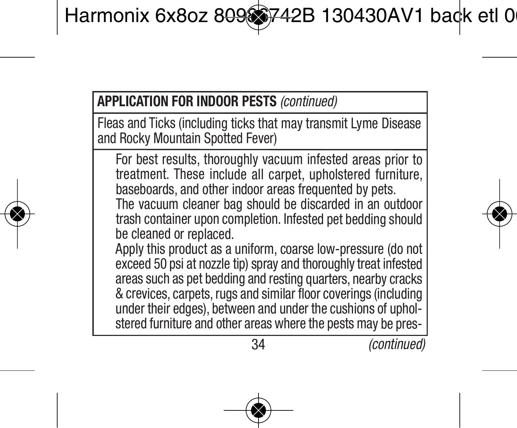Fleas and Ticks (including ticks that may transmit Lyme Disease and Rocky Mountain Spotted Fever)

For best results, thoroughly vacuum infested areas prior to treatment. These include all carpet, upholstered furniture, baseboards, and other indoor areas frequented by pets. The vacuum cleaner bag should be discarded in an outdoor trash container upon completion. Infested pet bedding should be cleaned or replaced.

Apply this product as <sup>a</sup> uniform, coarse low-pressure (do not exceed 50 psi at nozzle tip) spray and thoroughly treat infested areas such as pet bedding and resting quarters, nearby cracks & crevices, carpets, rugs and similar floor coverings (including under their edges), between and under the cushions of upholstered furniture and other areas where the pests may be pres-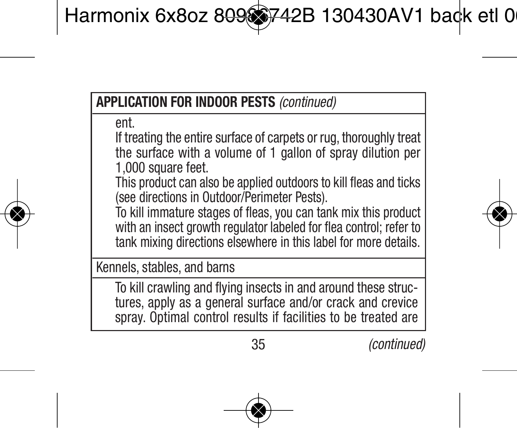ent.

If treating the entire surface of carpets or rug, thoroughly treat the surface with a volume of 1 gallon of spray dilution per 1,000 square feet.

This product can also be applied outdoors to kill fleas and ticks (see directions in Outdoor/Perimeter Pests).

To kill immature stages of fleas, you can tank mix this product with an insect growth regulator labeled for flea control; refer to tank mixing directions elsewhere in this label for more details.

Kennels, stables, and barns

To kill crawling and flying insects in and around these structures, apply as a general surface and/or crack and crevice spray. Optimal control results if facilities to be treated are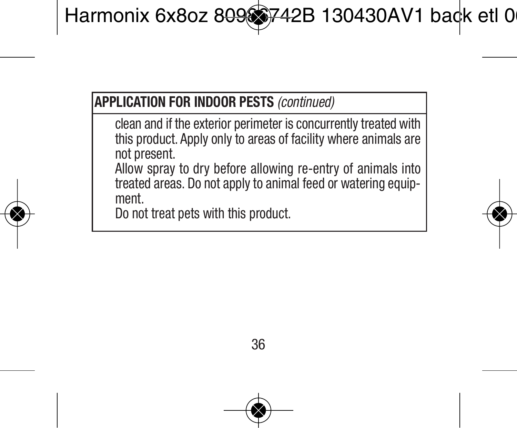clean and if the exterior perimeter is concurrently treated with this product. Apply only to areas of facility where animals are not present.

Allow spray to dry before allowing re-entry of animals into treated areas. Do not apply to animal feed or watering equipment.

Do not treat pets with this product.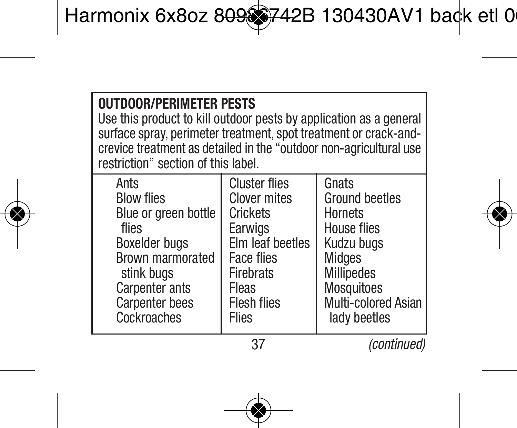| <b>OUTDOOR/PERIMETER PESTS</b><br>Use this product to kill outdoor pests by application as a general<br>surface spray, perimeter treatment, spot treatment or crack-and-<br>crevice treatment as detailed in the "outdoor non-agricultural use<br>restriction" section of this label. |                      |                     |  |
|---------------------------------------------------------------------------------------------------------------------------------------------------------------------------------------------------------------------------------------------------------------------------------------|----------------------|---------------------|--|
| Ants                                                                                                                                                                                                                                                                                  | <b>Cluster flies</b> | Gnats               |  |
| <b>Blow flies</b>                                                                                                                                                                                                                                                                     | <b>Clover mites</b>  | Ground beetles      |  |
| Blue or green bottle                                                                                                                                                                                                                                                                  | Crickets             | <b>Hornets</b>      |  |
| flies                                                                                                                                                                                                                                                                                 | Earwigs              | House flies         |  |
| <b>Boxelder bugs</b>                                                                                                                                                                                                                                                                  | Elm leaf beetles     | Kudzu buas          |  |
| Brown marmorated                                                                                                                                                                                                                                                                      | Face flies           | Midaes              |  |
| stink bugs                                                                                                                                                                                                                                                                            | <b>Firebrats</b>     | <b>Millipedes</b>   |  |
| Carpenter ants                                                                                                                                                                                                                                                                        | Fleas                | Mosquitoes          |  |
| <b>Carpenter bees</b>                                                                                                                                                                                                                                                                 | <b>Flesh flies</b>   | Multi-colored Asian |  |
| Cockroaches                                                                                                                                                                                                                                                                           | Flies                | lady beetles        |  |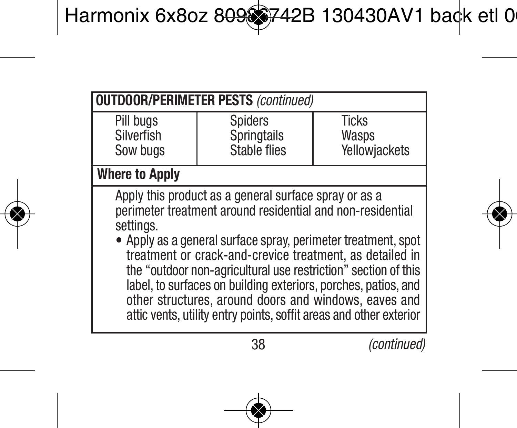| <b>OUTDOOR/PERIMETER PESTS (continued)</b>                                                                                                                                                                                                                                                                                                                                                                                                                                                                                       |                                        |                                        |  |  |
|----------------------------------------------------------------------------------------------------------------------------------------------------------------------------------------------------------------------------------------------------------------------------------------------------------------------------------------------------------------------------------------------------------------------------------------------------------------------------------------------------------------------------------|----------------------------------------|----------------------------------------|--|--|
| Pill bugs<br>Silverfish<br>Sow bugs                                                                                                                                                                                                                                                                                                                                                                                                                                                                                              | Spiders<br>Springtails<br>Stable flies | <b>Ticks</b><br>Wasps<br>Yellowiackets |  |  |
| <b>Where to Apply</b>                                                                                                                                                                                                                                                                                                                                                                                                                                                                                                            |                                        |                                        |  |  |
| Apply this product as a general surface spray or as a<br>perimeter treatment around residential and non-residential<br>settings.<br>• Apply as a general surface spray, perimeter treatment, spot<br>treatment or crack-and-crevice treatment, as detailed in<br>the "outdoor non-agricultural use restriction" section of this<br>label, to surfaces on building exteriors, porches, patios, and<br>other structures, around doors and windows, eaves and<br>attic vents, utility entry points, soffit areas and other exterior |                                        |                                        |  |  |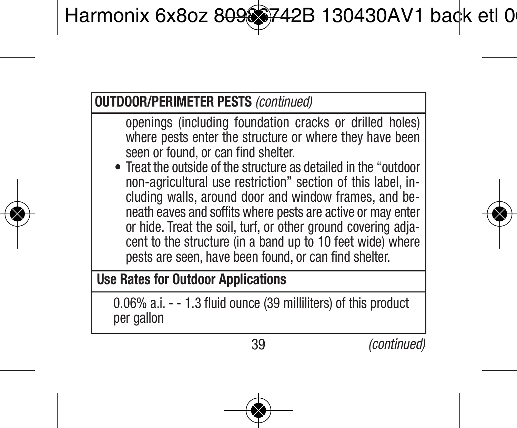#### **OUTDOOR/PERIMETER PESTS** *(continued)*

openings (including foundation cracks or drilled holes) where pests enter the structure or where they have been seen or found, or can find shelter.

• Treat the outside of the structure as detailed in the "outdoor non-agricultural use restriction" section of this label, in cluding walls, around door and window frames, and beneath eaves and soffits where pests are active or may enter or hide. Treat the soil, turf, or other ground covering adjacent to the structure (in a band up to 10 feet wide) where pests are seen, have been found, or can find shelter.

# **Use Rates for Outdoor Applications**

0.06% a.i. - - 1.3 fluid ounce (39 milliliters) of this product per gallon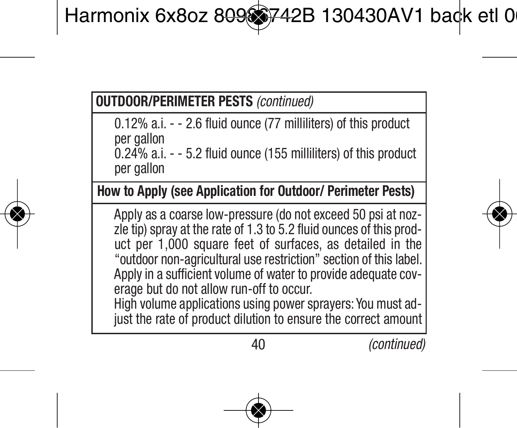# **OUTDOOR/PERIMETER PESTS** *(continued)*

0.12% a.i. - - 2.6 fluid ounce (77 milliliters) of this product per gallon 0.24% a.i. - - 5.2 fluid ounce (155 milliliters) of this product per gallon

**How to Apply (see Application for Outdoor/ Perimeter Pests)**

Apply as a coarse low-pressure (do not exceed 50 psi at nozzle tip) spray at the rate of 1.3 to 5.2 fluid ounces of this product per 1,000 square feet of surfaces, as detailed in the "outdoor non-agricultural use restriction" section of this label. Apply in a sufficient volume of water to provide adequate coverage but do not allow run-off to occur.

High volume applications using power sprayers: You must ad just the rate of product dilution to ensure the correct amount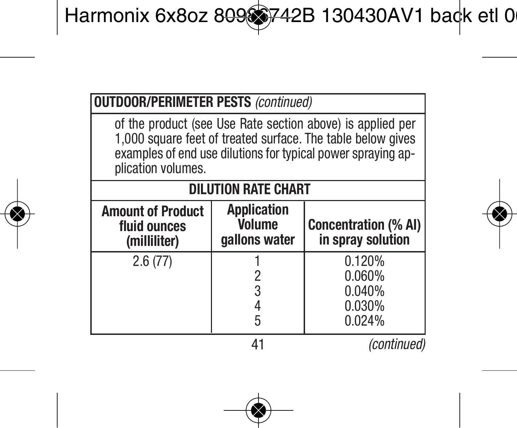| <b>OUTDOOR/PERIMETER PESTS (continued)</b>                                                                                                                                                                      |                                               |                                                |  |
|-----------------------------------------------------------------------------------------------------------------------------------------------------------------------------------------------------------------|-----------------------------------------------|------------------------------------------------|--|
| of the product (see Use Rate section above) is applied per<br>1.000 square feet of treated surface. The table below gives<br>examples of end use dilutions for typical power spraying ap-<br>plication volumes. |                                               |                                                |  |
| <b>DILUTION RATE CHART</b>                                                                                                                                                                                      |                                               |                                                |  |
| <b>Amount of Product</b><br>fluid ounces<br>(milliliter)                                                                                                                                                        | <b>Application</b><br>Volume<br>gallons water | Concentration (% AI)<br>in spray solution      |  |
| 2.6(77)                                                                                                                                                                                                         |                                               | 0.120%<br>0.060%<br>0.040%<br>0.030%<br>0.024% |  |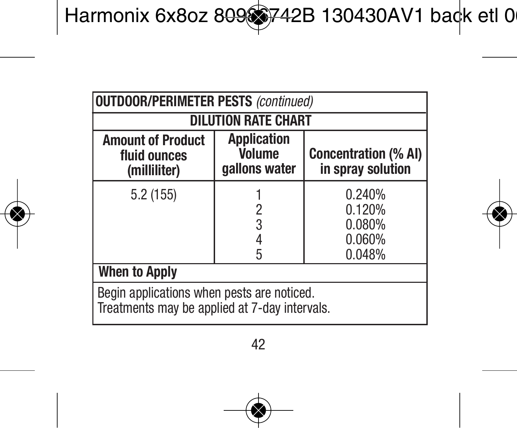| <b>OUTDOOR/PERIMETER PESTS (continued)</b>                                                  |                                                      |                                                  |  |
|---------------------------------------------------------------------------------------------|------------------------------------------------------|--------------------------------------------------|--|
| <b>DILUTION RATE CHART</b>                                                                  |                                                      |                                                  |  |
| <b>Amount of Product</b><br>fluid ounces<br>(milliliter)                                    | <b>Application</b><br><b>Volume</b><br>gallons water | <b>Concentration (% AI)</b><br>in spray solution |  |
| 5.2(155)                                                                                    | 2<br>3<br>5                                          | 0.240%<br>0.120%<br>0.080%<br>0.060%<br>0.048%   |  |
| <b>When to Apply</b>                                                                        |                                                      |                                                  |  |
| Begin applications when pests are noticed.<br>Treatments may be applied at 7-day intervals. |                                                      |                                                  |  |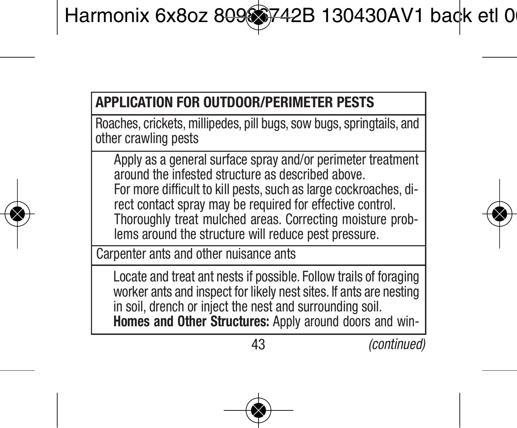# **APPLICATION FOR OUTDOOR/PERIMETER PESTS**

Roaches, crickets, millipedes, pill bugs, sow bugs, springtails, and other crawling pests

Apply as a general surface spray and/or perimeter treatment around the infested structure as described above. For more difficult to kill pests, such as large cockroaches, direct contact spray may be required for effective control. Thoroughly treat mulched areas. Correcting moisture problems around the structure will reduce pest pressure.

Carpenter ants and other nuisance ants

Locate and treat ant nests if possible. Follow trails of foraging worker ants and inspect for likely nest sites. If ants are nesting in soil, drench or inject the nest and surrounding soil. **Homes and Other Structures:** Apply around doors and win-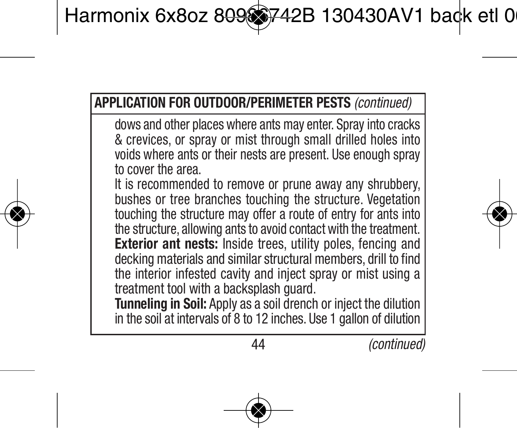dows and other places where ants may enter. Spray into cracks & crevices, or spray or mist through small drilled holes into voids where ants or their nests are present. Use enough spray to cover the area.

It is recommended to remove or prune away any shrubbery, bushes or tree branches touching the structure. Vegetation touching the structure may offer a route of entry for ants into the structure, allowing ants to avoid contact with the treatment. **Exterior ant nests:** Inside trees, utility poles, fencing and decking materials and similar structural members, drill to find the interior infested cavity and inject spray or mist using a treatment tool with a backsplash quard.

**Tunneling in Soil:** Apply as a soil drench or inject the dilution in the soil at intervals of 8 to 12 inches. Use 1 gallon of dilution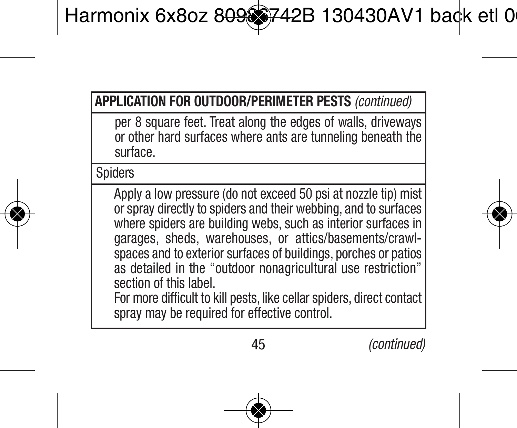per 8 square feet. Treat along the edges of walls, driveways or other hard surfaces where ants are tunneling beneath the surface.

**Spiders** 

Apply a low pressure (do not exceed 50 psi at nozzle tip) mist or spray directly to spiders and their webbing, and to surfaces where spiders are building webs, such as interior surfaces in garages, sheds, warehouses, or attics/basements/crawlspaces and to exterior surfaces of buildings, porches or patios as detailed in the "outdoor nonagricultural use restriction" section of this label. For more difficult to kill pests, like cellar spiders, direct contact spray may be required for effective control.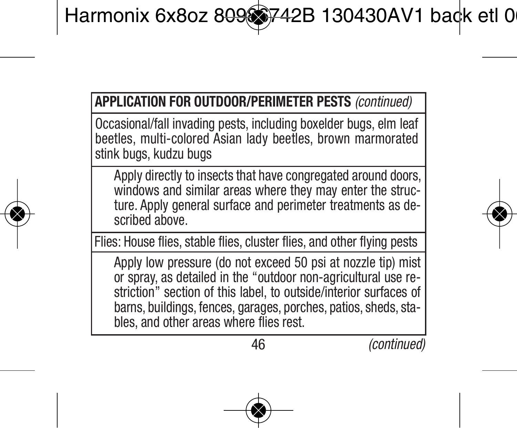Occasional/fall invading pests, including boxelder bugs, elm leaf beetles, multi-colored Asian lady beetles, brown marmorated stink bugs, kudzu bugs

Apply directly to insects that have congregated around doors. windows and similar areas where they may enter the structure. Apply general surface and perimeter treatments as described above.

Flies: House flies, stable flies, cluster flies, and other flying pests

Apply low pressure (do not exceed 50 psi at nozzle tip) mist or spray, as detailed in the "outdoor non-agricultural use restriction" section of this label, to outside/interior surfaces of barns, buildings, fences, garages, porches, patios, sheds, stables, and other areas where flies rest.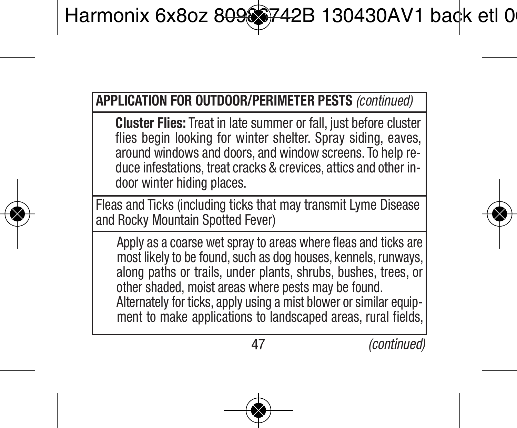**Cluster Flies:** Treat in late summer or fall, just before cluster flies begin looking for winter shelter. Spray siding, eaves, around windows and doors, and window screens. To help reduce infestations, treat cracks & crevices, attics and other indoor winter hiding places.

Fleas and Ticks (including ticks that may transmit Lyme Disease and Rocky Mountain Spotted Fever)

Apply as a coarse wet spray to areas where fleas and ticks are most likely to be found, such as dog houses, kennels, runways, along paths or trails, under plants, shrubs, bushes, trees, or other shaded, moist areas where pests may be found. Alternately for ticks, apply using a mist blower or similar equipment to make applications to landscaped areas, rural fields,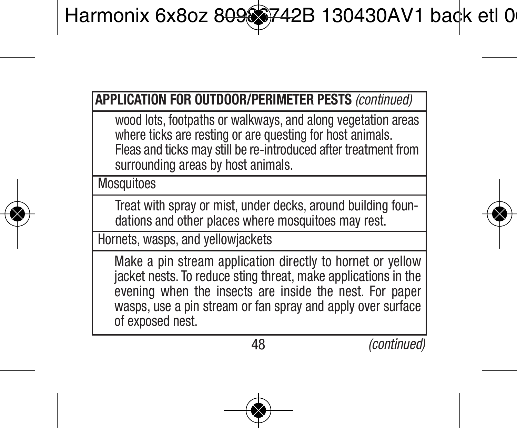wood lots, footpaths or walkways, and along vegetation areas where ticks are resting or are questing for host animals. Fleas and ticks may still be re-introduced after treatment from surrounding areas by host animals.

**Mosquitoes** 

Treat with spray or mist, under decks, around building foundations and other places where mosquitoes may rest.

Hornets, wasps, and yellowjackets

Make a pin stream application directly to hornet or yellow jacket nests. To reduce sting threat, make applications in the evening when the insects are inside the nest. For paper wasps, use a pin stream or fan spray and apply over surface of exposed nest.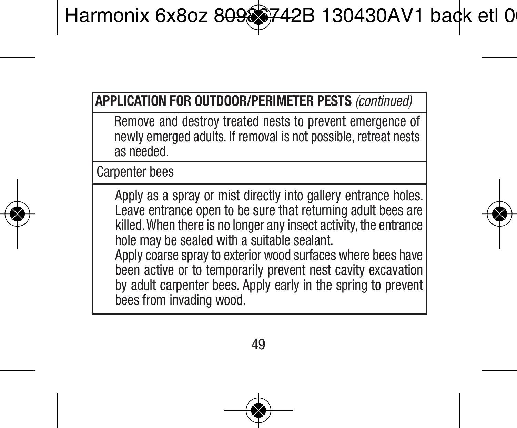Remove and destroy treated nests to prevent emergence of newly emerged adults. If removal is not possible, retreat nests as needed.

Carnenter bees

Apply as a spray or mist directly into gallery entrance holes. Leave entrance open to be sure that returning adult bees are killed.When there is no longer any insect activity, the entrance hole may be sealed with a suitable sealant. Apply coarse spray to exterior wood surfaces where bees have been active or to temporarily prevent nest cavity excavation by adult carpenter bees. Apply early in the spring to prevent bees from invading wood.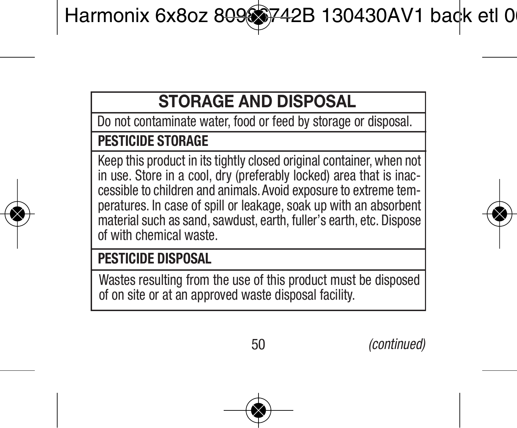# **STORAGE AND DISPOSAL**

Do not contaminate water, food or feed by storage or disposal.

#### **PESTICIDE STORAGE**

Keep this product in its tightly closed original container, when not in use. Store in a cool, dry (preferably locked) area that is inaccessible to children and animals. Avoid exposure to extreme tem peratures. In case of spill or leakage, soak up with an absorbent material such as sand, sawdust, earth, fuller's earth, etc. Dispose of with chemical waste.

#### **PESTICIDE DISPOSAL**

Wastes resulting from the use of this product must be disposed of on site or at an approved waste disposal facility.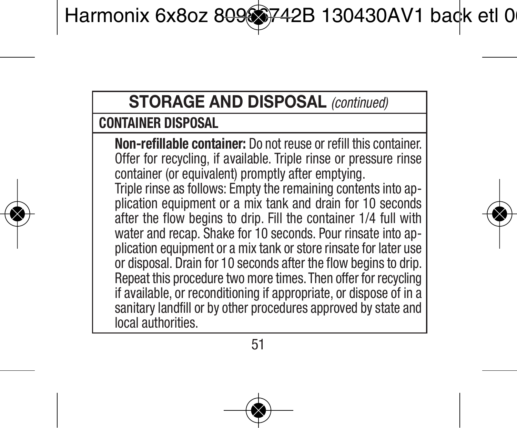# **STORAGE AND DISPOSAL** *(continued)*

# **CONTAINER DISPOSAL**

**Non-refillable container:** Do not reuse or refill this container. Offer for recycling, if available. Triple rinse or pressure rinse container (or equivalent) promptly after emptying. Triple rinse as follows: Empty the remaining contents into application equipment or a mix tank and drain for 10 seconds after the flow begins to drip. Fill the container 1/4 full with water and recap. Shake for 10 seconds. Pour rinsate into application equipment or a mix tank or store rinsate for later use or disposal. Drain for 10 seconds after the flow begins to drip. Repeat this procedure two more times. Then offer for recycling if available, or reconditioning if appropriate, or dispose of in a sanitary landfill or by other procedures approved by state and local authorities.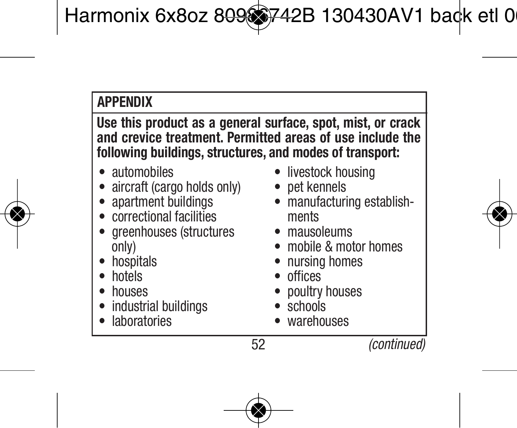# **APPENDIX**

**Use this product as a general surface, spot, mist, or crack and crevice treatment. Permitted areas of use include the following buildings, structures, and modes of transport:**

- automobiles
- aircraft (cargo holds only)
- apartment buildings
- correctional facilities
- greenhouses (structures only)
- hospitals
- hotels
- houses
- industrial buildings
- **laboratories**
- livestock housing
- pet kennels
- manufacturing establishments
- mausoleums
- mobile & motor homes
- nursing homes
- offices
- poultry houses
- schools
- warehouses

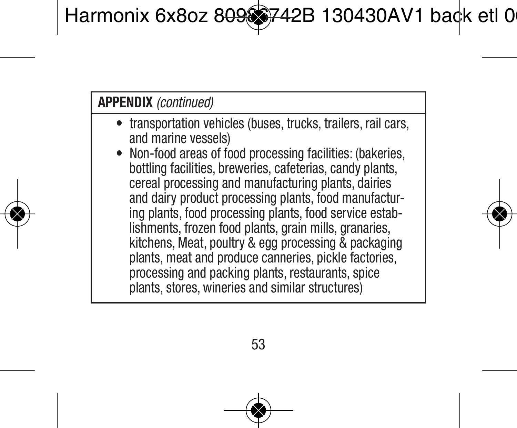# **APPENDIX** *(continued)*

- transportation vehicles (buses, trucks, trailers, rail cars, and marine vessels)
- Non-food areas of food processing facilities: (bakeries, bottling facilities, breweries, cafeterias, candy plants, cereal processing and manufacturing plants, dairies and dairy product processing plants, food manufacturing plants, food processing plants, food service establishments, frozen food plants, grain mills, granaries, kitchens, Meat, poultry & egg processing & packaging plants, meat and produce canneries, pickle factories, processing and packing plants, restaurants, spice plants, stores, wineries and similar structures)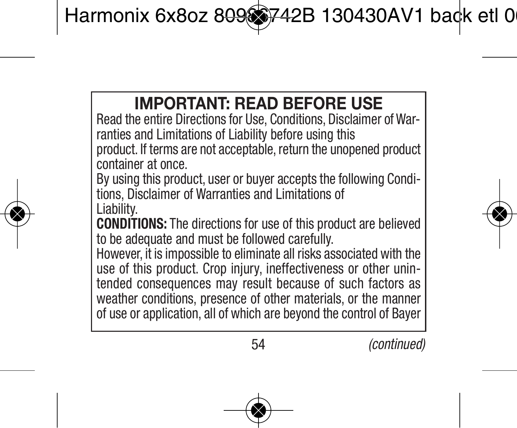# **IMPORTANT: READ BEFORE USE**

Read the entire Directions for Use, Conditions, Disclaimer of Warranties and Limitations of Liability before using this product. If terms are not acceptable, return the unopened product container at once.

By using this product, user or buyer accepts the following Conditions, Disclaimer of Warranties and Limitations of

Liability.

**CONDITIONS:** The directions for use of this product are believed to be adequate and must be followed carefully.

However, it is impossible to eliminate all risks associated with the use of this product. Crop injury, ineffectiveness or other unintended consequences may result because of such factors as weather conditions, presence of other materials, or the manner of use or application, all of which are beyond the control of Bayer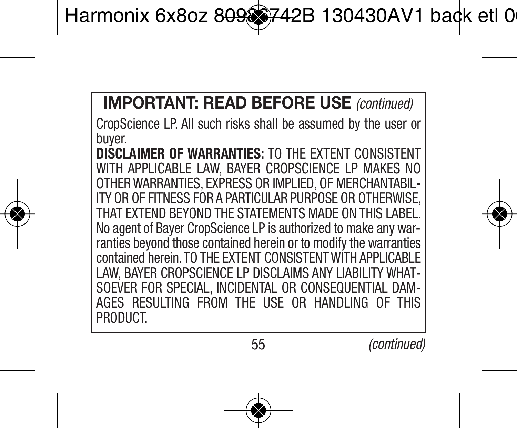# **IMPORTANT: READ BEFORE USE** *(continued)*

CropScience LP. All such risks shall be assumed by the user or buyer.

**DISCLAIMER OF WARRANTIES:** TO THE EXTENT CONSISTENT WITH APPLICABLE LAW, BAYER CROPSCIENCE LP MAKES NO OTHER WARRANTIES, EXPRESS OR IMPLIED, OF MERCHAN ITY OR OF FITNESS FOR A PARTICULAR PURPOSE OR OTHERWIS THAT EXTEND BEYOND THE STATEMENTS MADE ON THIS LABEL No agent of Bayer CropScience LP is authorized to make any war ranties beyond those contained herein or to modify the warranties contained herein. TO THE EXTENT CONSISTENT WITH APPLICABLE LAW, BAYER CROPSCIENCE LP DISCLAIMS ANY LIABILITY WHAT-SOEVER FOR SPECIAL, INCIDENTAL OR CONSEQUENTIAL DAM-<br>AGES, RESULTING FROM THE LISE OR HANDLING OF THIS AGES RESULTING FROM THE USE OR HANDLING **PRODUCT.**